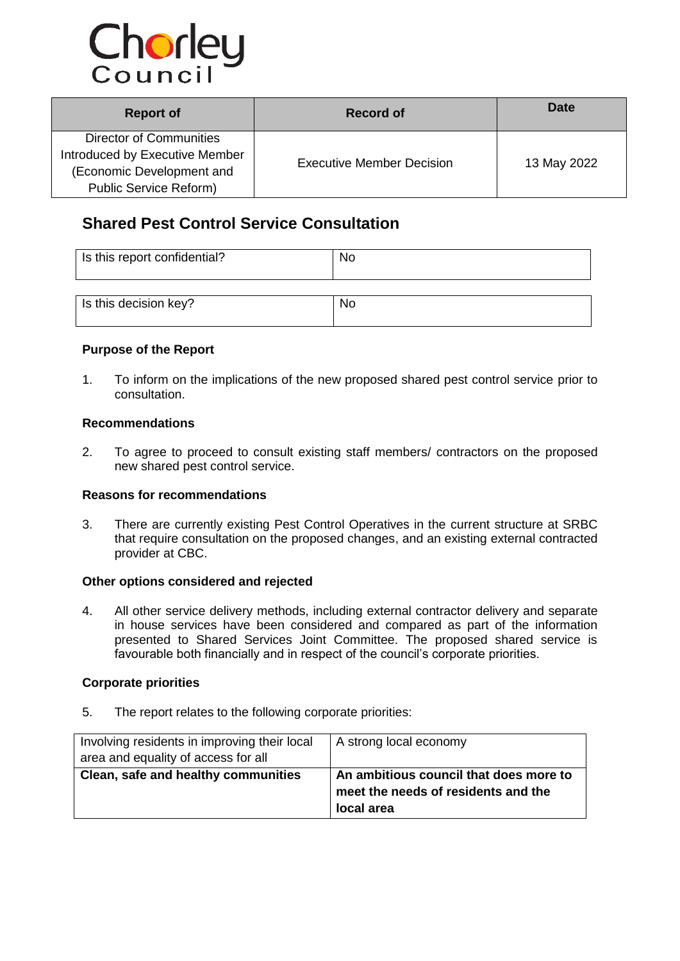

| <b>Report of</b>                                                                                                               | Record of                        | Date        |  |
|--------------------------------------------------------------------------------------------------------------------------------|----------------------------------|-------------|--|
| <b>Director of Communities</b><br>Introduced by Executive Member<br>(Economic Development and<br><b>Public Service Reform)</b> | <b>Executive Member Decision</b> | 13 May 2022 |  |

# **Shared Pest Control Service Consultation**

| Is this report confidential? | No |
|------------------------------|----|
| Is this decision key?        | No |

### **Purpose of the Report**

1. To inform on the implications of the new proposed shared pest control service prior to consultation.

# **Recommendations**

2. To agree to proceed to consult existing staff members/ contractors on the proposed new shared pest control service.

### **Reasons for recommendations**

3. There are currently existing Pest Control Operatives in the current structure at SRBC that require consultation on the proposed changes, and an existing external contracted provider at CBC.

## **Other options considered and rejected**

4. All other service delivery methods, including external contractor delivery and separate in house services have been considered and compared as part of the information presented to Shared Services Joint Committee. The proposed shared service is favourable both financially and in respect of the council's corporate priorities.

#### **Corporate priorities**

5. The report relates to the following corporate priorities:

| Involving residents in improving their local | A strong local economy                 |
|----------------------------------------------|----------------------------------------|
| area and equality of access for all          |                                        |
| Clean, safe and healthy communities          | An ambitious council that does more to |
|                                              | meet the needs of residents and the    |
|                                              | local area                             |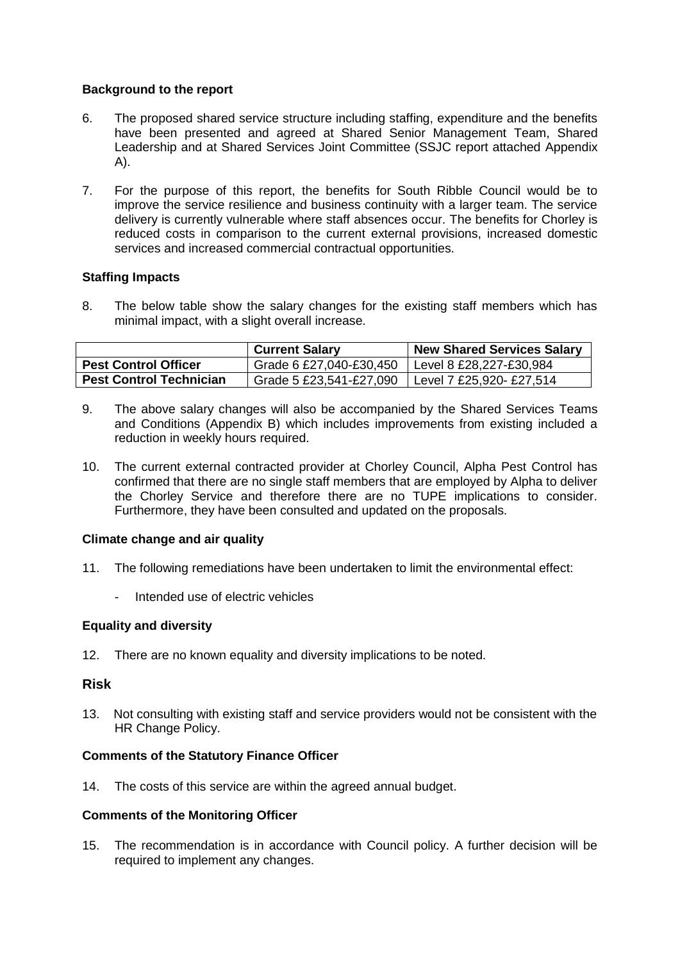## **Background to the report**

- 6. The proposed shared service structure including staffing, expenditure and the benefits have been presented and agreed at Shared Senior Management Team, Shared Leadership and at Shared Services Joint Committee (SSJC report attached Appendix A).
- 7. For the purpose of this report, the benefits for South Ribble Council would be to improve the service resilience and business continuity with a larger team. The service delivery is currently vulnerable where staff absences occur. The benefits for Chorley is reduced costs in comparison to the current external provisions, increased domestic services and increased commercial contractual opportunities.

### **Staffing Impacts**

8. The below table show the salary changes for the existing staff members which has minimal impact, with a slight overall increase.

|                                | <b>Current Salary</b>   | <b>New Shared Services Salary</b> |
|--------------------------------|-------------------------|-----------------------------------|
| <b>Pest Control Officer</b>    | Grade 6 £27,040-£30,450 | Level 8 £28,227-£30,984           |
| <b>Pest Control Technician</b> | Grade 5 £23,541-£27,090 | Level 7 £25,920- £27,514          |

- 9. The above salary changes will also be accompanied by the Shared Services Teams and Conditions (Appendix B) which includes improvements from existing included a reduction in weekly hours required.
- 10. The current external contracted provider at Chorley Council, Alpha Pest Control has confirmed that there are no single staff members that are employed by Alpha to deliver the Chorley Service and therefore there are no TUPE implications to consider. Furthermore, they have been consulted and updated on the proposals.

### **Climate change and air quality**

- 11. The following remediations have been undertaken to limit the environmental effect:
	- Intended use of electric vehicles

### **Equality and diversity**

12. There are no known equality and diversity implications to be noted.

### **Risk**

13. Not consulting with existing staff and service providers would not be consistent with the HR Change Policy.

### **Comments of the Statutory Finance Officer**

14. The costs of this service are within the agreed annual budget.

### **Comments of the Monitoring Officer**

15. The recommendation is in accordance with Council policy. A further decision will be required to implement any changes.